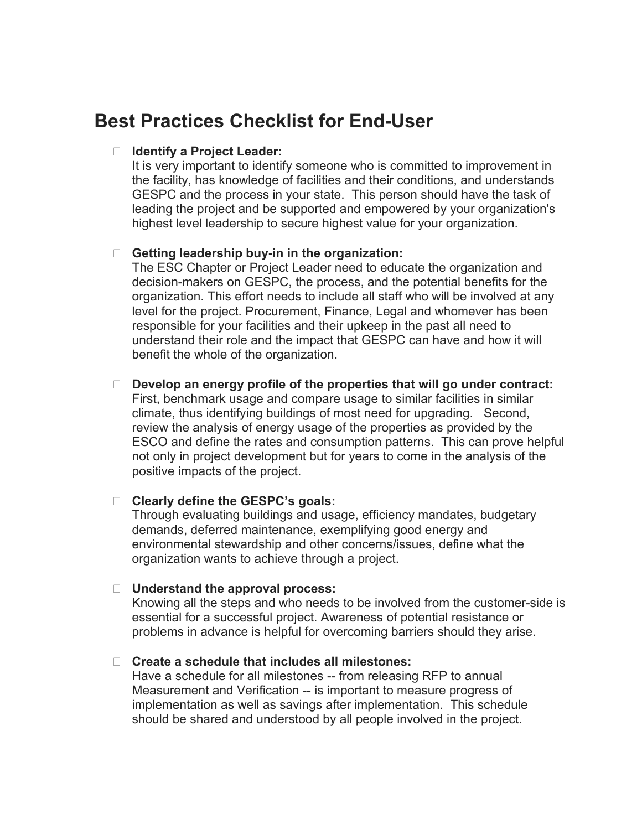# **Best Practices Checklist for End-User**

#### **Identify a Project Leader:**

It is very important to identify someone who is committed to improvement in the facility, has knowledge of facilities and their conditions, and understands GESPC and the process in your state. This person should have the task of leading the project and be supported and empowered by your organization's highest level leadership to secure highest value for your organization.

## **Getting leadership buy-in in the organization:**

The ESC Chapter or Project Leader need to educate the organization and decision-makers on GESPC, the process, and the potential benefits for the organization. This effort needs to include all staff who will be involved at any level for the project. Procurement, Finance, Legal and whomever has been responsible for your facilities and their upkeep in the past all need to understand their role and the impact that GESPC can have and how it will benefit the whole of the organization.

## **Develop an energy profile of the properties that will go under contract:**

First, benchmark usage and compare usage to similar facilities in similar climate, thus identifying buildings of most need for upgrading. Second, review the analysis of energy usage of the properties as provided by the ESCO and define the rates and consumption patterns. This can prove helpful not only in project development but for years to come in the analysis of the positive impacts of the project.

#### **Clearly define the GESPC's goals:**

Through evaluating buildings and usage, efficiency mandates, budgetary demands, deferred maintenance, exemplifying good energy and environmental stewardship and other concerns/issues, define what the organization wants to achieve through a project.

#### **Understand the approval process:**

Knowing all the steps and who needs to be involved from the customer-side is essential for a successful project. Awareness of potential resistance or problems in advance is helpful for overcoming barriers should they arise.

#### **Create a schedule that includes all milestones:**

Have a schedule for all milestones -- from releasing RFP to annual Measurement and Verification -- is important to measure progress of implementation as well as savings after implementation. This schedule should be shared and understood by all people involved in the project.